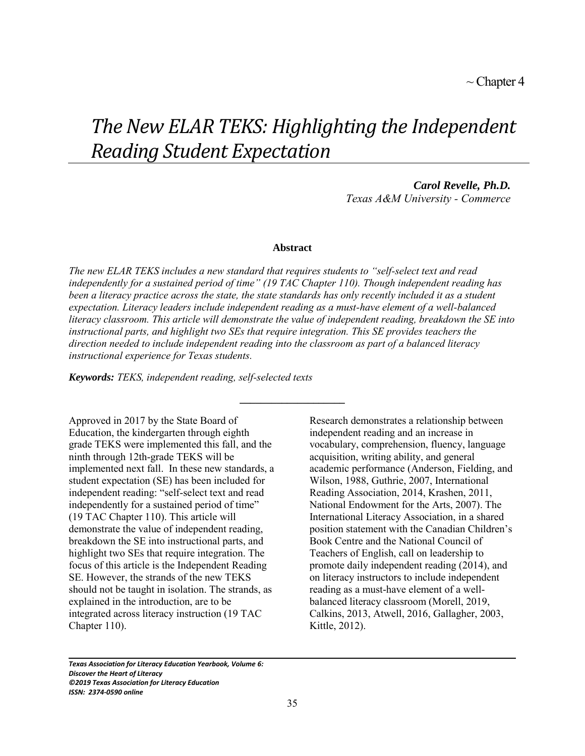# *The New ELAR TEKS: Highlighting the Independent Reading Student Expectation*

*Carol Revelle, Ph.D. Texas A&M University - Commerce*

#### **Abstract**

*The new ELAR TEKS includes a new standard that requires students to "self-select text and read independently for a sustained period of time" (19 TAC Chapter 110). Though independent reading has been a literacy practice across the state, the state standards has only recently included it as a student expectation. Literacy leaders include independent reading as a must-have element of a well-balanced literacy classroom. This article will demonstrate the value of independent reading, breakdown the SE into instructional parts, and highlight two SEs that require integration. This SE provides teachers the direction needed to include independent reading into the classroom as part of a balanced literacy instructional experience for Texas students.* 

**\_\_\_\_\_\_\_\_\_\_\_\_\_\_\_\_\_\_\_\_**

*Keywords: TEKS, independent reading, self-selected texts*

Approved in 2017 by the State Board of Education, the kindergarten through eighth grade TEKS were implemented this fall, and the ninth through 12th-grade TEKS will be implemented next fall. In these new standards, a student expectation (SE) has been included for independent reading: "self-select text and read independently for a sustained period of time" (19 TAC Chapter 110). This article will demonstrate the value of independent reading, breakdown the SE into instructional parts, and highlight two SEs that require integration. The focus of this article is the Independent Reading SE. However, the strands of the new TEKS should not be taught in isolation. The strands, as explained in the introduction, are to be integrated across literacy instruction (19 TAC Chapter 110).

Research demonstrates a relationship between independent reading and an increase in vocabulary, comprehension, fluency, language acquisition, writing ability, and general academic performance (Anderson, Fielding, and Wilson, 1988, Guthrie, 2007, International Reading Association, 2014, Krashen, 2011, National Endowment for the Arts, 2007). The International Literacy Association, in a shared position statement with the Canadian Children's Book Centre and the National Council of Teachers of English, call on leadership to promote daily independent reading (2014), and on literacy instructors to include independent reading as a must-have element of a wellbalanced literacy classroom (Morell, 2019, Calkins, 2013, Atwell, 2016, Gallagher, 2003, Kittle, 2012).

*Texas Association for Literacy Education Yearbook, Volume 6: Discover the Heart of Literacy ©2019 Texas Association for Literacy Education ISSN: 2374-0590 online*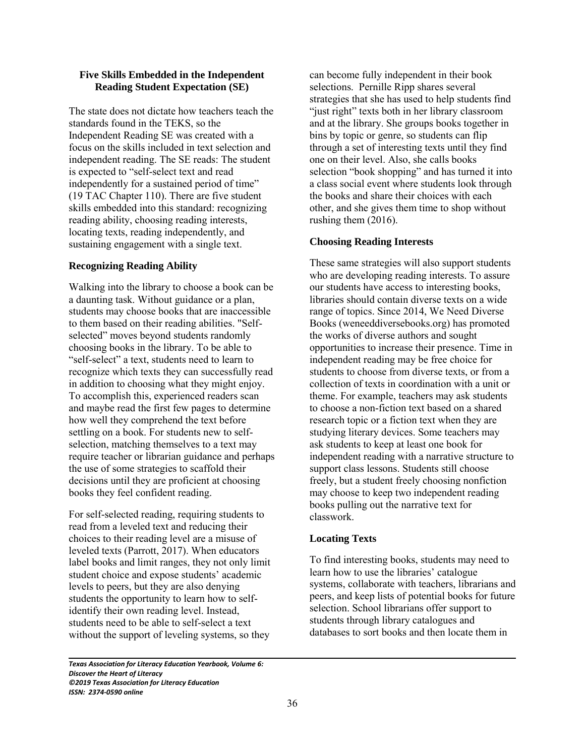#### **Five Skills Embedded in the Independent Reading Student Expectation (SE)**

The state does not dictate how teachers teach the standards found in the TEKS, so the Independent Reading SE was created with a focus on the skills included in text selection and independent reading. The SE reads: The student is expected to "self-select text and read independently for a sustained period of time" (19 TAC Chapter 110). There are five student skills embedded into this standard: recognizing reading ability, choosing reading interests, locating texts, reading independently, and sustaining engagement with a single text.

## **Recognizing Reading Ability**

Walking into the library to choose a book can be a daunting task. Without guidance or a plan, students may choose books that are inaccessible to them based on their reading abilities. "Selfselected" moves beyond students randomly choosing books in the library. To be able to "self-select" a text, students need to learn to recognize which texts they can successfully read in addition to choosing what they might enjoy. To accomplish this, experienced readers scan and maybe read the first few pages to determine how well they comprehend the text before settling on a book. For students new to selfselection, matching themselves to a text may require teacher or librarian guidance and perhaps the use of some strategies to scaffold their decisions until they are proficient at choosing books they feel confident reading.

For self-selected reading, requiring students to read from a leveled text and reducing their choices to their reading level are a misuse of leveled texts (Parrott, 2017). When educators label books and limit ranges, they not only limit student choice and expose students' academic levels to peers, but they are also denying students the opportunity to learn how to selfidentify their own reading level. Instead, students need to be able to self-select a text without the support of leveling systems, so they

can become fully independent in their book selections. Pernille Ripp shares several strategies that she has used to help students find "just right" texts both in her library classroom and at the library. She groups books together in bins by topic or genre, so students can flip through a set of interesting texts until they find one on their level. Also, she calls books selection "book shopping" and has turned it into a class social event where students look through the books and share their choices with each other, and she gives them time to shop without rushing them (2016).

## **Choosing Reading Interests**

These same strategies will also support students who are developing reading interests. To assure our students have access to interesting books, libraries should contain diverse texts on a wide range of topics. Since 2014, We Need Diverse Books (weneeddiversebooks.org) has promoted the works of diverse authors and sought opportunities to increase their presence. Time in independent reading may be free choice for students to choose from diverse texts, or from a collection of texts in coordination with a unit or theme. For example, teachers may ask students to choose a non-fiction text based on a shared research topic or a fiction text when they are studying literary devices. Some teachers may ask students to keep at least one book for independent reading with a narrative structure to support class lessons. Students still choose freely, but a student freely choosing nonfiction may choose to keep two independent reading books pulling out the narrative text for classwork.

## **Locating Texts**

To find interesting books, students may need to learn how to use the libraries' catalogue systems, collaborate with teachers, librarians and peers, and keep lists of potential books for future selection. School librarians offer support to students through library catalogues and databases to sort books and then locate them in

*Texas Association for Literacy Education Yearbook, Volume 6: Discover the Heart of Literacy ©2019 Texas Association for Literacy Education ISSN: 2374-0590 online*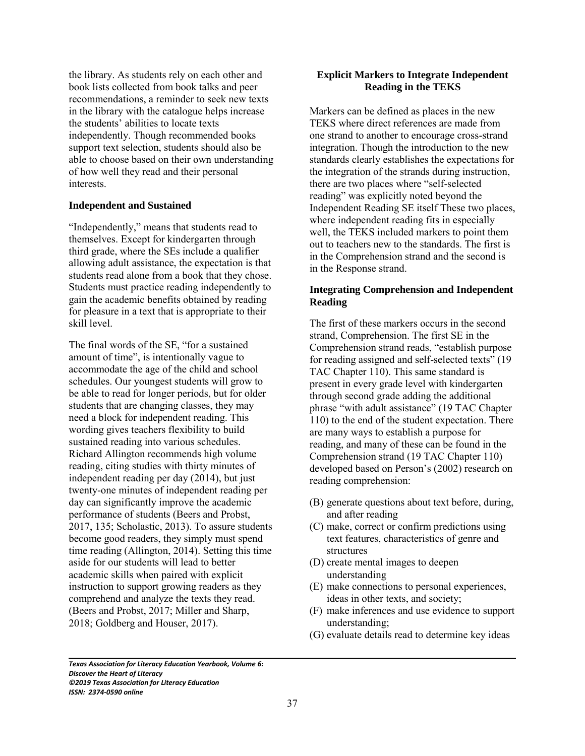the library. As students rely on each other and book lists collected from book talks and peer recommendations, a reminder to seek new texts in the library with the catalogue helps increase the students' abilities to locate texts independently. Though recommended books support text selection, students should also be able to choose based on their own understanding of how well they read and their personal interests.

#### **Independent and Sustained**

"Independently," means that students read to themselves. Except for kindergarten through third grade, where the SEs include a qualifier allowing adult assistance, the expectation is that students read alone from a book that they chose. Students must practice reading independently to gain the academic benefits obtained by reading for pleasure in a text that is appropriate to their skill level.

The final words of the SE, "for a sustained amount of time", is intentionally vague to accommodate the age of the child and school schedules. Our youngest students will grow to be able to read for longer periods, but for older students that are changing classes, they may need a block for independent reading. This wording gives teachers flexibility to build sustained reading into various schedules. Richard Allington recommends high volume reading, citing studies with thirty minutes of independent reading per day (2014), but just twenty-one minutes of independent reading per day can significantly improve the academic performance of students (Beers and Probst, 2017, 135; Scholastic, 2013). To assure students become good readers, they simply must spend time reading (Allington, 2014). Setting this time aside for our students will lead to better academic skills when paired with explicit instruction to support growing readers as they comprehend and analyze the texts they read. (Beers and Probst, 2017; Miller and Sharp, 2018; Goldberg and Houser, 2017).

### **Explicit Markers to Integrate Independent Reading in the TEKS**

Markers can be defined as places in the new TEKS where direct references are made from one strand to another to encourage cross-strand integration. Though the introduction to the new standards clearly establishes the expectations for the integration of the strands during instruction, there are two places where "self-selected reading" was explicitly noted beyond the Independent Reading SE itself These two places, where independent reading fits in especially well, the TEKS included markers to point them out to teachers new to the standards. The first is in the Comprehension strand and the second is in the Response strand.

# **Integrating Comprehension and Independent Reading**

The first of these markers occurs in the second strand, Comprehension. The first SE in the Comprehension strand reads, "establish purpose for reading assigned and self-selected texts" (19 TAC Chapter 110). This same standard is present in every grade level with kindergarten through second grade adding the additional phrase "with adult assistance" (19 TAC Chapter 110) to the end of the student expectation. There are many ways to establish a purpose for reading, and many of these can be found in the Comprehension strand (19 TAC Chapter 110) developed based on Person's (2002) research on reading comprehension:

- (B) generate questions about text before, during, and after reading
- (C) make, correct or confirm predictions using text features, characteristics of genre and structures
- (D) create mental images to deepen understanding
- (E) make connections to personal experiences, ideas in other texts, and society;
- (F) make inferences and use evidence to support understanding;
- (G) evaluate details read to determine key ideas

*Texas Association for Literacy Education Yearbook, Volume 6: Discover the Heart of Literacy ©2019 Texas Association for Literacy Education ISSN: 2374-0590 online*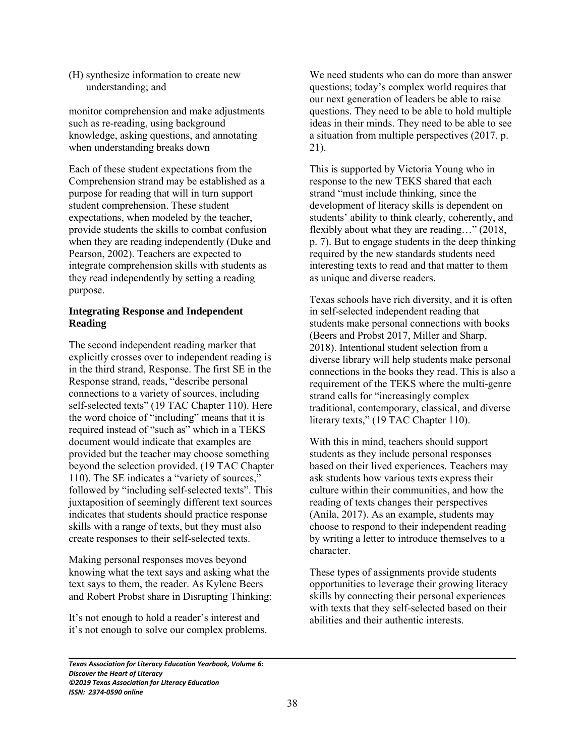(H) synthesize information to create new understanding; and

monitor comprehension and make adjustments such as re-reading, using background knowledge, asking questions, and annotating when understanding breaks down

Each of these student expectations from the Comprehension strand may be established as a purpose for reading that will in turn support student comprehension. These student expectations, when modeled by the teacher, provide students the skills to combat confusion when they are reading independently (Duke and Pearson, 2002). Teachers are expected to integrate comprehension skills with students as they read independently by setting a reading purpose.

# **Integrating Response and Independent Reading**

The second independent reading marker that explicitly crosses over to independent reading is in the third strand, Response. The first SE in the Response strand, reads, "describe personal connections to a variety of sources, including self-selected texts" (19 TAC Chapter 110). Here the word choice of "including" means that it is required instead of "such as" which in a TEKS document would indicate that examples are provided but the teacher may choose something beyond the selection provided. (19 TAC Chapter 110). The SE indicates a "variety of sources," followed by "including self-selected texts". This juxtaposition of seemingly different text sources indicates that students should practice response skills with a range of texts, but they must also create responses to their self-selected texts.

Making personal responses moves beyond knowing what the text says and asking what the text says to them, the reader. As Kylene Beers and Robert Probst share in Disrupting Thinking:

It's not enough to hold a reader's interest and it's not enough to solve our complex problems. We need students who can do more than answer questions; today's complex world requires that our next generation of leaders be able to raise questions. They need to be able to hold multiple ideas in their minds. They need to be able to see a situation from multiple perspectives (2017, p. 21).

This is supported by Victoria Young who in response to the new TEKS shared that each strand "must include thinking, since the development of literacy skills is dependent on students' ability to think clearly, coherently, and flexibly about what they are reading…" (2018, p. 7). But to engage students in the deep thinking required by the new standards students need interesting texts to read and that matter to them as unique and diverse readers.

Texas schools have rich diversity, and it is often in self-selected independent reading that students make personal connections with books (Beers and Probst 2017, Miller and Sharp, 2018). Intentional student selection from a diverse library will help students make personal connections in the books they read. This is also a requirement of the TEKS where the multi-genre strand calls for "increasingly complex traditional, contemporary, classical, and diverse literary texts," (19 TAC Chapter 110).

With this in mind, teachers should support students as they include personal responses based on their lived experiences. Teachers may ask students how various texts express their culture within their communities, and how the reading of texts changes their perspectives (Anila, 2017). As an example, students may choose to respond to their independent reading by writing a letter to introduce themselves to a character.

These types of assignments provide students opportunities to leverage their growing literacy skills by connecting their personal experiences with texts that they self-selected based on their abilities and their authentic interests.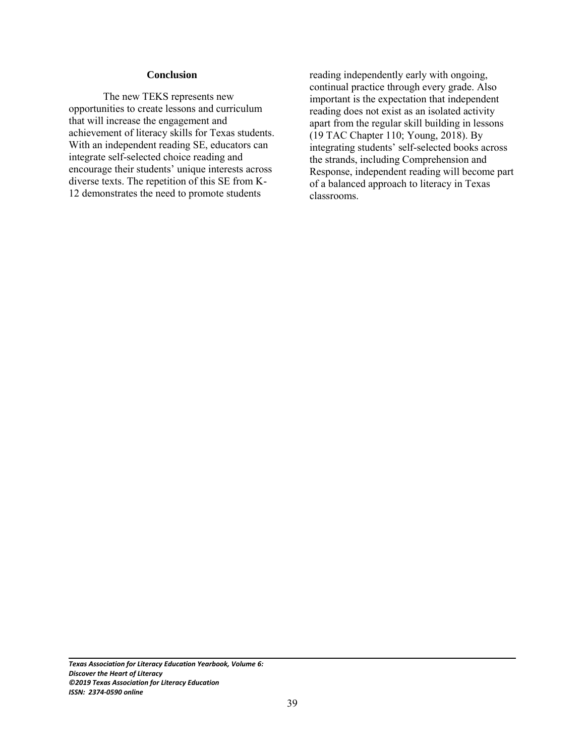#### **Conclusion**

The new TEKS represents new opportunities to create lessons and curriculum that will increase the engagement and achievement of literacy skills for Texas students. With an independent reading SE, educators can integrate self-selected choice reading and encourage their students' unique interests across diverse texts. The repetition of this SE from K-12 demonstrates the need to promote students

reading independently early with ongoing, continual practice through every grade. Also important is the expectation that independent reading does not exist as an isolated activity apart from the regular skill building in lessons (19 TAC Chapter 110; Young, 2018). By integrating students' self-selected books across the strands, including Comprehension and Response, independent reading will become part of a balanced approach to literacy in Texas classrooms.